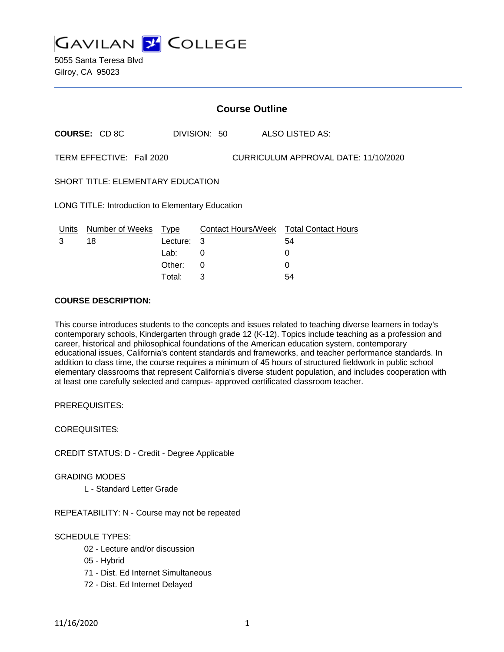

5055 Santa Teresa Blvd Gilroy, CA 95023

| <b>Course Outline</b>                                             |             |   |                          |                                        |
|-------------------------------------------------------------------|-------------|---|--------------------------|----------------------------------------|
| <b>COURSE: CD 8C</b>                                              |             |   |                          | ALSO LISTED AS:                        |
| TERM EFFECTIVE: Fall 2020<br>CURRICULUM APPROVAL DATE: 11/10/2020 |             |   |                          |                                        |
| SHORT TITLE: ELEMENTARY EDUCATION                                 |             |   |                          |                                        |
| LONG TITLE: Introduction to Elementary Education                  |             |   |                          |                                        |
| Number of Weeks                                                   | <b>Type</b> |   |                          |                                        |
| 18                                                                |             | 3 |                          | 54                                     |
|                                                                   | Lab:        | 0 |                          | $\Omega$                               |
|                                                                   | Other:      | 0 |                          | 0                                      |
|                                                                   |             |   | DIVISION: 50<br>Lecture: | Contact Hours/Week Total Contact Hours |

Total: 3 54

### **COURSE DESCRIPTION:**

This course introduces students to the concepts and issues related to teaching diverse learners in today's contemporary schools, Kindergarten through grade 12 (K-12). Topics include teaching as a profession and career, historical and philosophical foundations of the American education system, contemporary educational issues, California's content standards and frameworks, and teacher performance standards. In addition to class time, the course requires a minimum of 45 hours of structured fieldwork in public school elementary classrooms that represent California's diverse student population, and includes cooperation with at least one carefully selected and campus- approved certificated classroom teacher.

PREREQUISITES:

COREQUISITES:

CREDIT STATUS: D - Credit - Degree Applicable

GRADING MODES

L - Standard Letter Grade

REPEATABILITY: N - Course may not be repeated

### SCHEDULE TYPES:

- 02 Lecture and/or discussion
- 05 Hybrid
- 71 Dist. Ed Internet Simultaneous
- 72 Dist. Ed Internet Delayed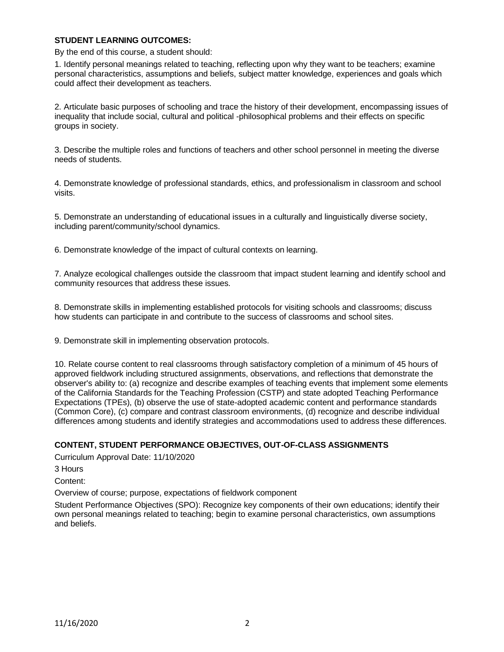#### **STUDENT LEARNING OUTCOMES:**

By the end of this course, a student should:

1. Identify personal meanings related to teaching, reflecting upon why they want to be teachers; examine personal characteristics, assumptions and beliefs, subject matter knowledge, experiences and goals which could affect their development as teachers.

2. Articulate basic purposes of schooling and trace the history of their development, encompassing issues of inequality that include social, cultural and political -philosophical problems and their effects on specific groups in society.

3. Describe the multiple roles and functions of teachers and other school personnel in meeting the diverse needs of students.

4. Demonstrate knowledge of professional standards, ethics, and professionalism in classroom and school visits.

5. Demonstrate an understanding of educational issues in a culturally and linguistically diverse society, including parent/community/school dynamics.

6. Demonstrate knowledge of the impact of cultural contexts on learning.

7. Analyze ecological challenges outside the classroom that impact student learning and identify school and community resources that address these issues.

8. Demonstrate skills in implementing established protocols for visiting schools and classrooms; discuss how students can participate in and contribute to the success of classrooms and school sites.

9. Demonstrate skill in implementing observation protocols.

10. Relate course content to real classrooms through satisfactory completion of a minimum of 45 hours of approved fieldwork including structured assignments, observations, and reflections that demonstrate the observer's ability to: (a) recognize and describe examples of teaching events that implement some elements of the California Standards for the Teaching Profession (CSTP) and state adopted Teaching Performance Expectations (TPEs), (b) observe the use of state-adopted academic content and performance standards (Common Core), (c) compare and contrast classroom environments, (d) recognize and describe individual differences among students and identify strategies and accommodations used to address these differences.

### **CONTENT, STUDENT PERFORMANCE OBJECTIVES, OUT-OF-CLASS ASSIGNMENTS**

Curriculum Approval Date: 11/10/2020

3 Hours

Content:

Overview of course; purpose, expectations of fieldwork component

Student Performance Objectives (SPO): Recognize key components of their own educations; identify their own personal meanings related to teaching; begin to examine personal characteristics, own assumptions and beliefs.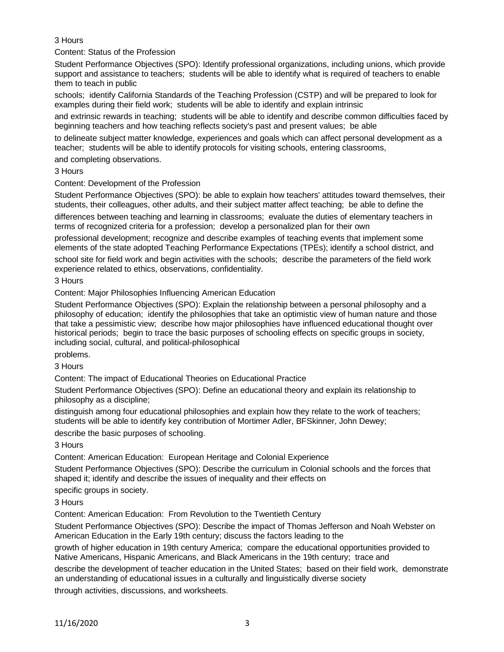# 3 Hours

Content: Status of the Profession

Student Performance Objectives (SPO): Identify professional organizations, including unions, which provide support and assistance to teachers; students will be able to identify what is required of teachers to enable them to teach in public

schools; identify California Standards of the Teaching Profession (CSTP) and will be prepared to look for examples during their field work; students will be able to identify and explain intrinsic

and extrinsic rewards in teaching; students will be able to identify and describe common difficulties faced by beginning teachers and how teaching reflects society's past and present values; be able

to delineate subject matter knowledge, experiences and goals which can affect personal development as a teacher; students will be able to identify protocols for visiting schools, entering classrooms,

and completing observations.

3 Hours

Content: Development of the Profession

Student Performance Objectives (SPO): be able to explain how teachers' attitudes toward themselves, their students, their colleagues, other adults, and their subject matter affect teaching; be able to define the

differences between teaching and learning in classrooms; evaluate the duties of elementary teachers in terms of recognized criteria for a profession; develop a personalized plan for their own

professional development; recognize and describe examples of teaching events that implement some elements of the state adopted Teaching Performance Expectations (TPEs); identify a school district, and school site for field work and begin activities with the schools; describe the parameters of the field work

experience related to ethics, observations, confidentiality.

3 Hours

Content: Major Philosophies Influencing American Education

Student Performance Objectives (SPO): Explain the relationship between a personal philosophy and a philosophy of education; identify the philosophies that take an optimistic view of human nature and those that take a pessimistic view; describe how major philosophies have influenced educational thought over historical periods; begin to trace the basic purposes of schooling effects on specific groups in society, including social, cultural, and political-philosophical

problems.

3 Hours

Content: The impact of Educational Theories on Educational Practice

Student Performance Objectives (SPO): Define an educational theory and explain its relationship to philosophy as a discipline;

distinguish among four educational philosophies and explain how they relate to the work of teachers; students will be able to identify key contribution of Mortimer Adler, BFSkinner, John Dewey;

describe the basic purposes of schooling.

3 Hours

Content: American Education: European Heritage and Colonial Experience

Student Performance Objectives (SPO): Describe the curriculum in Colonial schools and the forces that shaped it; identify and describe the issues of inequality and their effects on

specific groups in society.

3 Hours

Content: American Education: From Revolution to the Twentieth Century

Student Performance Objectives (SPO): Describe the impact of Thomas Jefferson and Noah Webster on American Education in the Early 19th century; discuss the factors leading to the

growth of higher education in 19th century America; compare the educational opportunities provided to Native Americans, Hispanic Americans, and Black Americans in the 19th century; trace and

describe the development of teacher education in the United States; based on their field work, demonstrate an understanding of educational issues in a culturally and linguistically diverse society through activities, discussions, and worksheets.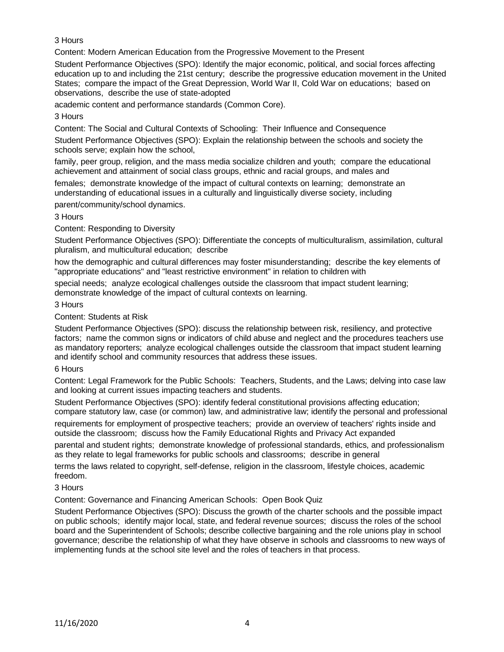# 3 Hours

Content: Modern American Education from the Progressive Movement to the Present

Student Performance Objectives (SPO): Identify the major economic, political, and social forces affecting education up to and including the 21st century; describe the progressive education movement in the United States; compare the impact of the Great Depression, World War II, Cold War on educations; based on observations, describe the use of state-adopted

academic content and performance standards (Common Core).

# 3 Hours

Content: The Social and Cultural Contexts of Schooling: Their Influence and Consequence

Student Performance Objectives (SPO): Explain the relationship between the schools and society the schools serve; explain how the school,

family, peer group, religion, and the mass media socialize children and youth; compare the educational achievement and attainment of social class groups, ethnic and racial groups, and males and

females; demonstrate knowledge of the impact of cultural contexts on learning; demonstrate an understanding of educational issues in a culturally and linguistically diverse society, including parent/community/school dynamics.

# 3 Hours

Content: Responding to Diversity

Student Performance Objectives (SPO): Differentiate the concepts of multiculturalism, assimilation, cultural pluralism, and multicultural education; describe

how the demographic and cultural differences may foster misunderstanding; describe the key elements of "appropriate educations" and "least restrictive environment" in relation to children with

special needs; analyze ecological challenges outside the classroom that impact student learning; demonstrate knowledge of the impact of cultural contexts on learning.

### 3 Hours

# Content: Students at Risk

Student Performance Objectives (SPO): discuss the relationship between risk, resiliency, and protective factors; name the common signs or indicators of child abuse and neglect and the procedures teachers use as mandatory reporters; analyze ecological challenges outside the classroom that impact student learning and identify school and community resources that address these issues.

### 6 Hours

Content: Legal Framework for the Public Schools: Teachers, Students, and the Laws; delving into case law and looking at current issues impacting teachers and students.

Student Performance Objectives (SPO): identify federal constitutional provisions affecting education; compare statutory law, case (or common) law, and administrative law; identify the personal and professional

requirements for employment of prospective teachers; provide an overview of teachers' rights inside and outside the classroom; discuss how the Family Educational Rights and Privacy Act expanded

parental and student rights; demonstrate knowledge of professional standards, ethics, and professionalism as they relate to legal frameworks for public schools and classrooms; describe in general

terms the laws related to copyright, self-defense, religion in the classroom, lifestyle choices, academic freedom.

### 3 Hours

Content: Governance and Financing American Schools: Open Book Quiz

Student Performance Objectives (SPO): Discuss the growth of the charter schools and the possible impact on public schools; identify major local, state, and federal revenue sources; discuss the roles of the school board and the Superintendent of Schools; describe collective bargaining and the role unions play in school governance; describe the relationship of what they have observe in schools and classrooms to new ways of implementing funds at the school site level and the roles of teachers in that process.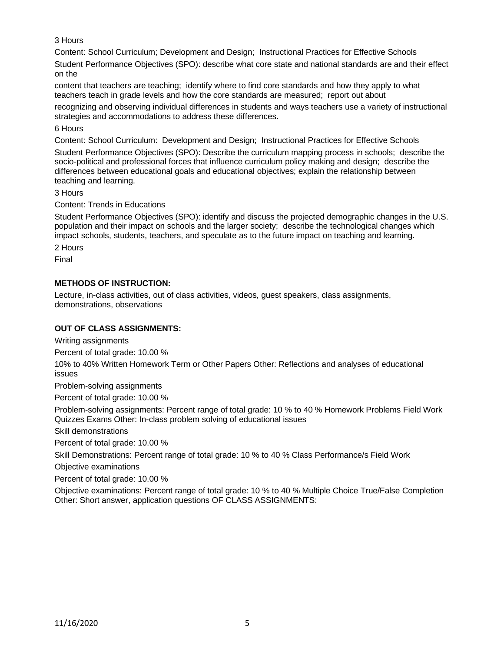3 Hours

Content: School Curriculum; Development and Design; Instructional Practices for Effective Schools

Student Performance Objectives (SPO): describe what core state and national standards are and their effect on the

content that teachers are teaching; identify where to find core standards and how they apply to what teachers teach in grade levels and how the core standards are measured; report out about

recognizing and observing individual differences in students and ways teachers use a variety of instructional strategies and accommodations to address these differences.

# 6 Hours

Content: School Curriculum: Development and Design; Instructional Practices for Effective Schools

Student Performance Objectives (SPO): Describe the curriculum mapping process in schools; describe the socio-political and professional forces that influence curriculum policy making and design; describe the differences between educational goals and educational objectives; explain the relationship between teaching and learning.

3 Hours

Content: Trends in Educations

Student Performance Objectives (SPO): identify and discuss the projected demographic changes in the U.S. population and their impact on schools and the larger society; describe the technological changes which impact schools, students, teachers, and speculate as to the future impact on teaching and learning.

2 Hours

Final

# **METHODS OF INSTRUCTION:**

Lecture, in-class activities, out of class activities, videos, guest speakers, class assignments, demonstrations, observations

### **OUT OF CLASS ASSIGNMENTS:**

Writing assignments

Percent of total grade: 10.00 %

10% to 40% Written Homework Term or Other Papers Other: Reflections and analyses of educational issues

Problem-solving assignments

Percent of total grade: 10.00 %

Problem-solving assignments: Percent range of total grade: 10 % to 40 % Homework Problems Field Work Quizzes Exams Other: In-class problem solving of educational issues

Skill demonstrations

Percent of total grade: 10.00 %

Skill Demonstrations: Percent range of total grade: 10 % to 40 % Class Performance/s Field Work

Objective examinations

Percent of total grade: 10.00 %

Objective examinations: Percent range of total grade: 10 % to 40 % Multiple Choice True/False Completion Other: Short answer, application questions OF CLASS ASSIGNMENTS: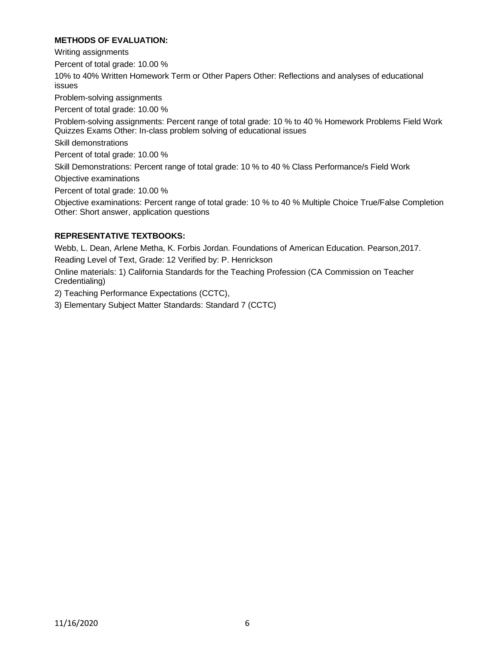### **METHODS OF EVALUATION:**

Writing assignments

Percent of total grade: 10.00 %

10% to 40% Written Homework Term or Other Papers Other: Reflections and analyses of educational issues

Problem-solving assignments

Percent of total grade: 10.00 %

Problem-solving assignments: Percent range of total grade: 10 % to 40 % Homework Problems Field Work Quizzes Exams Other: In-class problem solving of educational issues

Skill demonstrations

Percent of total grade: 10.00 %

Skill Demonstrations: Percent range of total grade: 10 % to 40 % Class Performance/s Field Work

Objective examinations

Percent of total grade: 10.00 %

Objective examinations: Percent range of total grade: 10 % to 40 % Multiple Choice True/False Completion Other: Short answer, application questions

### **REPRESENTATIVE TEXTBOOKS:**

Webb, L. Dean, Arlene Metha, K. Forbis Jordan. Foundations of American Education. Pearson,2017. Reading Level of Text, Grade: 12 Verified by: P. Henrickson

Online materials: 1) California Standards for the Teaching Profession (CA Commission on Teacher Credentialing)

2) Teaching Performance Expectations (CCTC),

3) Elementary Subject Matter Standards: Standard 7 (CCTC)